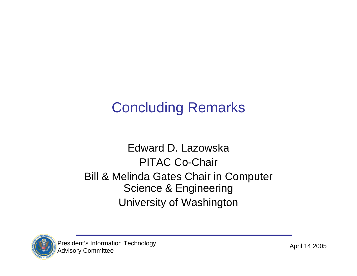# Concluding Remarks

## Edward D. LazowskaPITAC Co-Chair Bill & Melinda Gates Chair in Computer Science & Engineering University of Washington

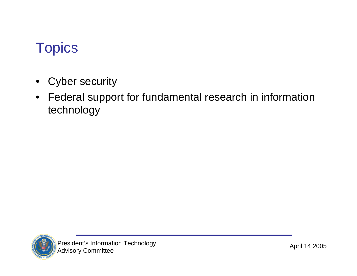## **Topics**

- $\bullet$ Cyber security
- Federal support for fundamental research in information technology

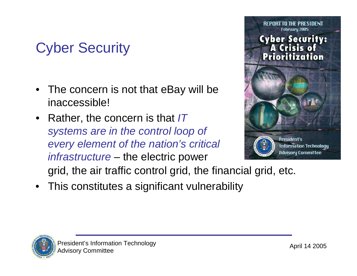# Cyber Security

- • The concern is not that eBay will be inaccessible!
- • Rather, the concern is that *IT systems are in the control loop of every element of the nation's critical infrastructure* – the electric power



grid, the air traffic control grid, the financial grid, etc.

• This constitutes a significant vulnerability

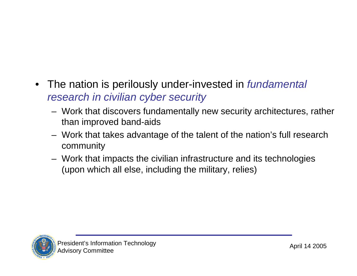- The nation is perilously under-invested in *fundamental research in civilian cyber security*
	- Work that discovers fundamentally new security architectures, rather than improved band-aids
	- Work that takes advantage of the talent of the nation's full research community
	- Work that impacts the civilian infrastructure and its technologies (upon which all else, including the military, relies)

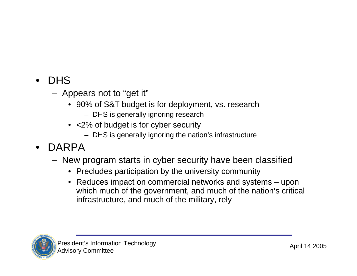- • DHS
	- Appears not to "get it"
		- 90% of S&T budget is for deployment, vs. research
			- DHS is generally ignoring research
		- <2% of budget is for cyber security
			- DHS is generally ignoring the nation's infrastructure
- • DARPA
	- New program starts in cyber security have been classified
		- Precludes participation by the university community
		- Reduces impact on commercial networks and systems upon which much of the government, and much of the nation's critical infrastructure, and much of the military, rely

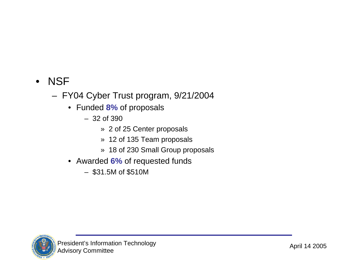### • NSF

- FY04 Cyber Trust program, 9/21/2004
	- Funded **8%** of proposals
		- 32 of 390
			- » 2 of 25 Center proposals
			- » 12 of 135 Team proposals
			- » 18 of 230 Small Group proposals
	- Awarded **6%** of requested funds
		- \$31.5M of \$510M

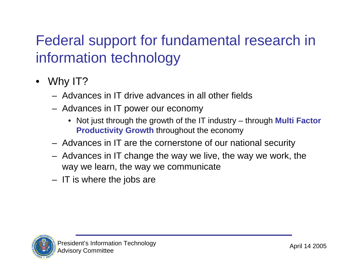# Federal support for fundamental research in information technology

- $\bullet$  Why IT?
	- Advances in IT drive advances in all other fields
	- Advances in IT power our economy
		- Not just through the growth of the IT industry through **Multi Factor Productivity Growth** throughout the economy
	- Advances in IT are the cornerstone of our national security
	- Advances in IT change the way we live, the way we work, the way we learn, the way we communicate
	- IT is where the jobs are

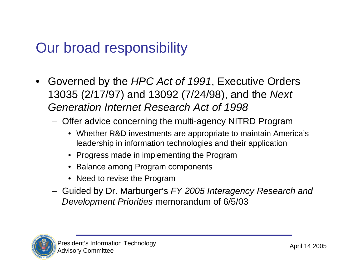## Our broad responsibility

- • Governed by the *HPC Act of 1991*, Executive Orders 13035 (2/17/97) and 13092 (7/24/98), and the *Next Generation Internet Research Act of 1998*
	- Offer advice concerning the multi-agency NITRD Program
		- Whether R&D investments are appropriate to maintain America's leadership in information technologies and their application
		- Progress made in implementing the Program
		- Balance among Program components
		- Need to revise the Program
	- Guided by Dr. Marburger's *FY 2005 Interagency Research and Development Priorities* memorandum of 6/5/03

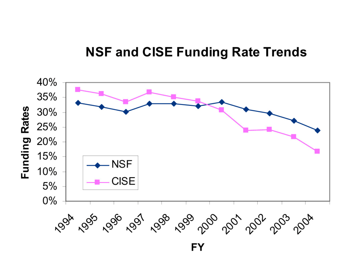### **NSF and CISE Funding Rate Trends**

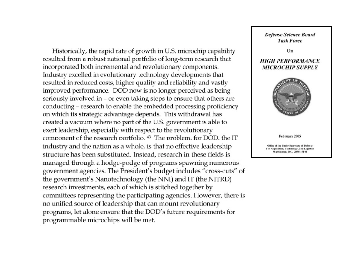Historically, the rapid rate of growth in U.S. microchip capability resulted from a robust national portfolio of long-term research that incorporated both incremental and revolutionary components. Industry excelled in evolutionary technology developments that resulted in reduced costs, higher quality and reliability and vastly improved performance. DOD now is no longer perceived as being seriously involved in - or even taking steps to ensure that others are conducting - research to enable the embedded processing proficiency on which its strategic advantage depends. This withdrawal has created a vacuum where no part of the U.S. government is able to exert leadership, especially with respect to the revolutionary component of the research portfolio.<sup>43</sup> The problem, for DOD, the IT industry and the nation as a whole, is that no effective leadership structure has been substituted. Instead, research in these fields is managed through a hodge-podge of programs spawning numerous government agencies. The President's budget includes "cross-cuts" of the government's Nanotechnology (the NNI) and IT (the NITRD) research investments, each of which is stitched together by committees representing the participating agencies. However, there is no unified source of leadership that can mount revolutionary programs, let alone ensure that the DOD's future requirements for programmable microchips will be met.

**Defense Science Board Task Force** 

On

#### **HIGH PERFORMANCE MICROCHIP SUPPLY**



February 2005

Office of the Under Secretary of Defense Acquisition, Technology, and Logistics Washington, D.C. 20301-3140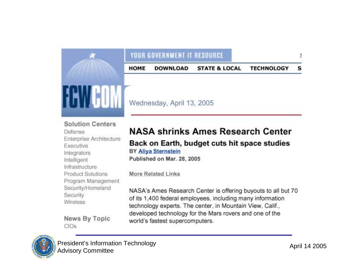### YOUR GOVERNMENT IT RESOURCE

**DOWNLOAD STATE & LOCAL HOME TECHNOLOGY** s



Wednesday, April 13, 2005

#### **Solution Centers**

**Defense** Enterprise Architecture Executive Integrators Intelligent Infrastructure Product Solutions Program Management Security/Homeland Security **Wireless** 

News By Topic CIOs

### **NASA shrinks Ames Research Center**

#### Back on Earth, budget cuts hit space studies **BY Aliya Sternstein**

Published on Mar. 28, 2005

**More Related Links** 

NASA's Ames Research Center is offering buyouts to all but 70 of its 1,400 federal employees, including many information technology experts. The center, in Mountain View, Calif., developed technology for the Mars rovers and one of the world's fastest supercomputers.



Į.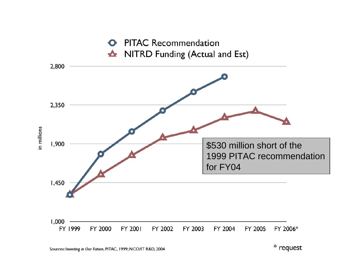

\* request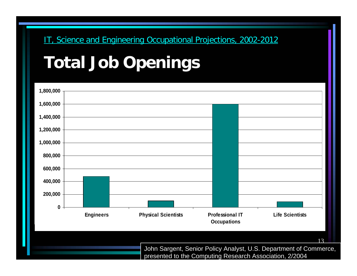### IT, Science and Engineering Occupational Projections, 2002-2012

# **Total Job Openings**